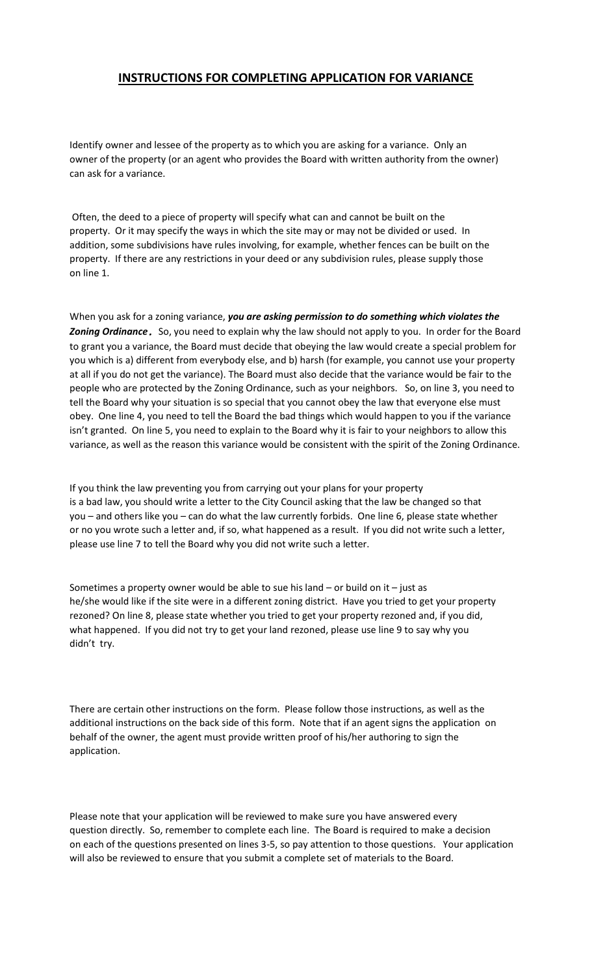## **INSTRUCTIONS FOR COMPLETING APPLICATION FOR VARIANCE**

Identify owner and lessee of the property as to which you are asking for a variance. Only an owner of the property (or an agent who provides the Board with written authority from the owner) can ask for a variance.

Often, the deed to a piece of property will specify what can and cannot be built on the property. Or it may specify the ways in which the site may or may not be divided or used. In addition, some subdivisions have rules involving, for example, whether fences can be built on the property. If there are any restrictions in your deed or any subdivision rules, please supply those on line 1.

When you ask for a zoning variance, *you are asking permission to do something which violates the Zoning Ordinance.* So, you need to explain why the law should not apply to you. In order for the Board to grant you a variance, the Board must decide that obeying the law would create a special problem for you which is a) different from everybody else, and b) harsh (for example, you cannot use your property at all if you do not get the variance). The Board must also decide that the variance would be fair to the people who are protected by the Zoning Ordinance, such as your neighbors. So, on line 3, you need to tell the Board why your situation is so special that you cannot obey the law that everyone else must obey. One line 4, you need to tell the Board the bad things which would happen to you if the variance isn't granted. On line 5, you need to explain to the Board why it is fair to your neighbors to allow this variance, as well as the reason this variance would be consistent with the spirit of the Zoning Ordinance.

If you think the law preventing you from carrying out your plans for your property is a bad law, you should write a letter to the City Council asking that the law be changed so that you – and others like you – can do what the law currently forbids. One line 6, please state whether or no you wrote such a letter and, if so, what happened as a result. If you did not write such a letter, please use line 7 to tell the Board why you did not write such a letter.

Sometimes a property owner would be able to sue his land – or build on it – just as he/she would like if the site were in a different zoning district. Have you tried to get your property rezoned? On line 8, please state whether you tried to get your property rezoned and, if you did, what happened. If you did not try to get your land rezoned, please use line 9 to say why you didn't try.

There are certain other instructions on the form. Please follow those instructions, as well as the additional instructions on the back side of this form. Note that if an agent signs the application on behalf of the owner, the agent must provide written proof of his/her authoring to sign the application.

Please note that your application will be reviewed to make sure you have answered every question directly. So, remember to complete each line. The Board is required to make a decision on each of the questions presented on lines 3-5, so pay attention to those questions. Your application will also be reviewed to ensure that you submit a complete set of materials to the Board.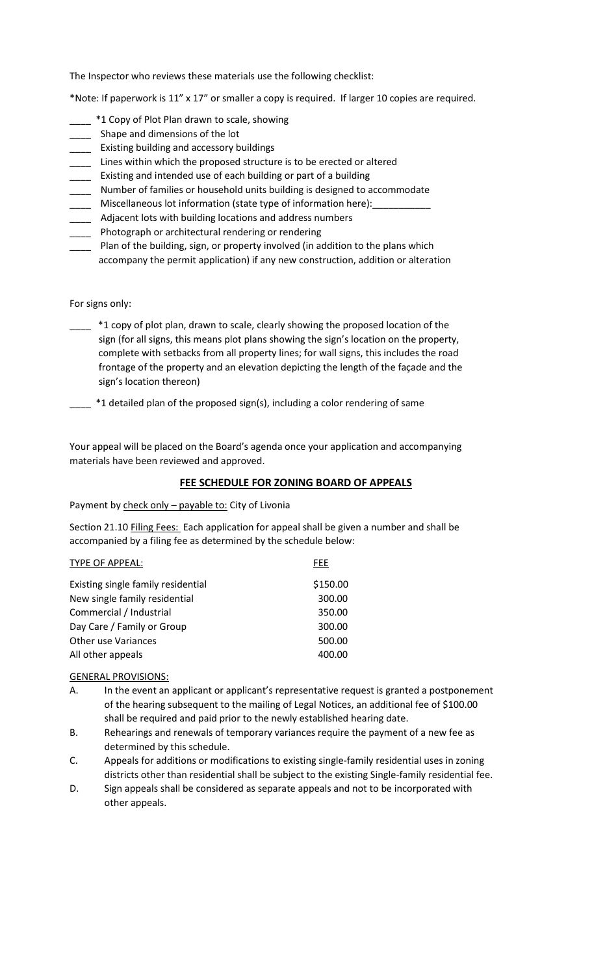The Inspector who reviews these materials use the following checklist:

\*Note: If paperwork is 11" x 17" or smaller a copy is required. If larger 10 copies are required.

- \*1 Copy of Plot Plan drawn to scale, showing
- \_\_\_\_ Shape and dimensions of the lot
- \_\_\_\_ Existing building and accessory buildings
- \_\_\_\_ Lines within which the proposed structure is to be erected or altered
- \_\_\_\_ Existing and intended use of each building or part of a building
- \_\_\_\_ Number of families or household units building is designed to accommodate
- \_\_\_\_ Miscellaneous lot information (state type of information here):\_\_\_\_\_\_\_\_\_\_\_
- \_\_\_\_ Adjacent lots with building locations and address numbers
- \_\_\_\_ Photograph or architectural rendering or rendering
- Plan of the building, sign, or property involved (in addition to the plans which accompany the permit application) if any new construction, addition or alteration

For signs only:

- \_\_\_\_ \*1 copy of plot plan, drawn to scale, clearly showing the proposed location of the sign (for all signs, this means plot plans showing the sign's location on the property, complete with setbacks from all property lines; for wall signs, this includes the road frontage of the property and an elevation depicting the length of the façade and the sign's location thereon)
	- $-$  \*1 detailed plan of the proposed sign(s), including a color rendering of same

Your appeal will be placed on the Board's agenda once your application and accompanying materials have been reviewed and approved.

## **FEE SCHEDULE FOR ZONING BOARD OF APPEALS**

Payment by check only – payable to: City of Livonia

Section 21.10 Filing Fees: Each application for appeal shall be given a number and shall be accompanied by a filing fee as determined by the schedule below:

| <b>TYPE OF APPEAL:</b>             | <b>FEE</b> |
|------------------------------------|------------|
| Existing single family residential | \$150.00   |
| New single family residential      | 300.00     |
| Commercial / Industrial            | 350.00     |
| Day Care / Family or Group         | 300.00     |
| <b>Other use Variances</b>         | 500.00     |
| All other appeals                  | 400.00     |

## GENERAL PROVISIONS:

- A. In the event an applicant or applicant's representative request is granted a postponement of the hearing subsequent to the mailing of Legal Notices, an additional fee of \$100.00 shall be required and paid prior to the newly established hearing date.
- B. Rehearings and renewals of temporary variances require the payment of a new fee as determined by this schedule.
- C. Appeals for additions or modifications to existing single-family residential uses in zoning districts other than residential shall be subject to the existing Single-family residential fee.
- D. Sign appeals shall be considered as separate appeals and not to be incorporated with other appeals.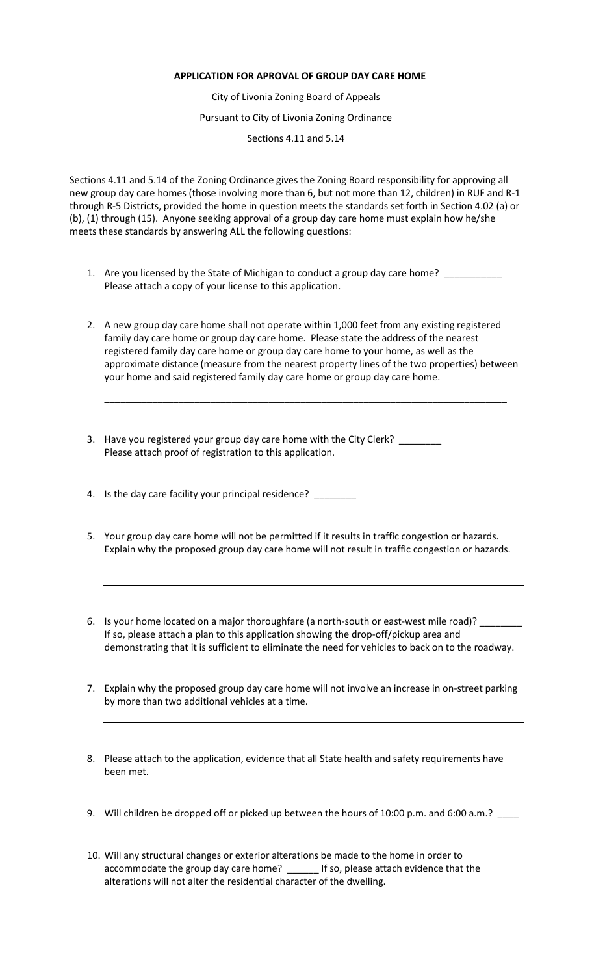## **APPLICATION FOR APROVAL OF GROUP DAY CARE HOME**

City of Livonia Zoning Board of Appeals

Pursuant to City of Livonia Zoning Ordinance

Sections 4.11 and 5.14

Sections 4.11 and 5.14 of the Zoning Ordinance gives the Zoning Board responsibility for approving all new group day care homes (those involving more than 6, but not more than 12, children) in RUF and R-1 through R-5 Districts, provided the home in question meets the standards set forth in Section 4.02 (a) or (b), (1) through (15). Anyone seeking approval of a group day care home must explain how he/she meets these standards by answering ALL the following questions:

- 1. Are you licensed by the State of Michigan to conduct a group day care home? Please attach a copy of your license to this application.
- 2. A new group day care home shall not operate within 1,000 feet from any existing registered family day care home or group day care home. Please state the address of the nearest registered family day care home or group day care home to your home, as well as the approximate distance (measure from the nearest property lines of the two properties) between your home and said registered family day care home or group day care home.

\_\_\_\_\_\_\_\_\_\_\_\_\_\_\_\_\_\_\_\_\_\_\_\_\_\_\_\_\_\_\_\_\_\_\_\_\_\_\_\_\_\_\_\_\_\_\_\_\_\_\_\_\_\_\_\_\_\_\_\_\_\_\_\_\_\_\_\_\_\_\_\_\_\_\_\_

- 3. Have you registered your group day care home with the City Clerk? Please attach proof of registration to this application.
- 4. Is the day care facility your principal residence?
- 5. Your group day care home will not be permitted if it results in traffic congestion or hazards. Explain why the proposed group day care home will not result in traffic congestion or hazards.
- 6. Is your home located on a major thoroughfare (a north-south or east-west mile road)? If so, please attach a plan to this application showing the drop-off/pickup area and demonstrating that it is sufficient to eliminate the need for vehicles to back on to the roadway.
- 7. Explain why the proposed group day care home will not involve an increase in on-street parking by more than two additional vehicles at a time.
- 8. Please attach to the application, evidence that all State health and safety requirements have been met.
- 9. Will children be dropped off or picked up between the hours of 10:00 p.m. and 6:00 a.m.? \_\_\_\_
- 10. Will any structural changes or exterior alterations be made to the home in order to accommodate the group day care home? \_\_\_\_\_\_ If so, please attach evidence that the alterations will not alter the residential character of the dwelling.